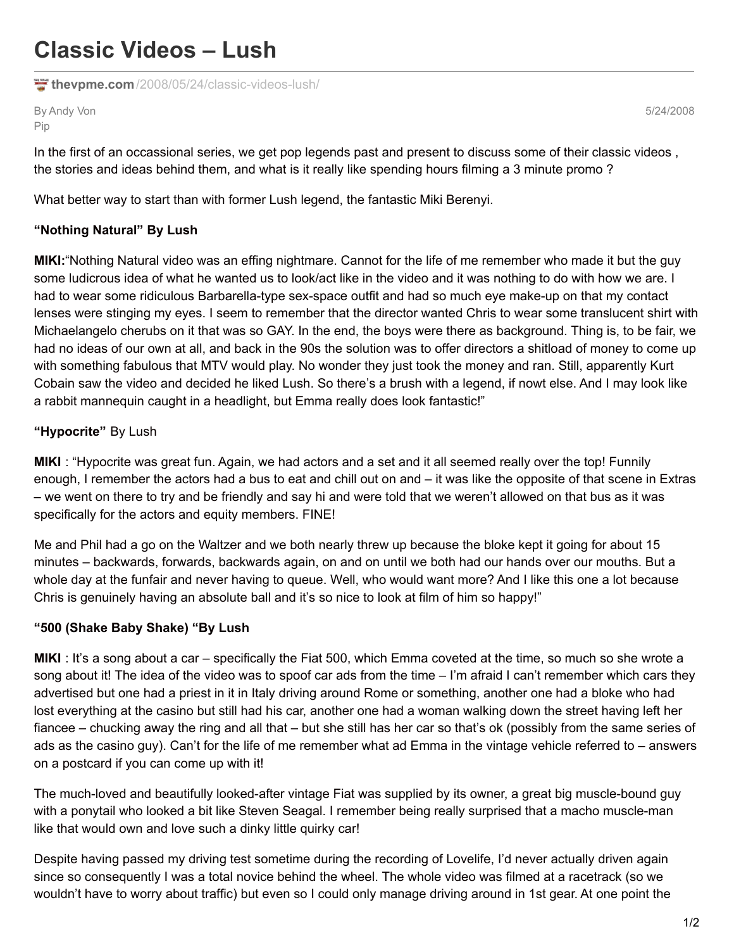# **Classic Videos – Lush**

**thevpme.com**[/2008/05/24/classic-videos-lush/](http://www.thevpme.com/2008/05/24/classic-videos-lush/)

By Andy Von Pip

5/24/2008

In the first of an occassional series, we get pop legends past and present to discuss some of their classic videos , the stories and ideas behind them, and what is it really like spending hours filming a 3 minute promo ?

What better way to start than with former Lush legend, the fantastic Miki Berenyi.

### **"Nothing Natural" By Lush**

**MIKI:**"Nothing Natural video was an effing nightmare. Cannot for the life of me remember who made it but the guy some ludicrous idea of what he wanted us to look/act like in the video and it was nothing to do with how we are. I had to wear some ridiculous Barbarella-type sex-space outfit and had so much eye make-up on that my contact lenses were stinging my eyes. I seem to remember that the director wanted Chris to wear some translucent shirt with Michaelangelo cherubs on it that was so GAY. In the end, the boys were there as background. Thing is, to be fair, we had no ideas of our own at all, and back in the 90s the solution was to offer directors a shitload of money to come up with something fabulous that MTV would play. No wonder they just took the money and ran. Still, apparently Kurt Cobain saw the video and decided he liked Lush. So there's a brush with a legend, if nowt else. And I may look like a rabbit mannequin caught in a headlight, but Emma really does look fantastic!"

#### **"Hypocrite"** By Lush

**MIKI** : "Hypocrite was great fun. Again, we had actors and a set and it all seemed really over the top! Funnily enough, I remember the actors had a bus to eat and chill out on and – it was like the opposite of that scene in Extras – we went on there to try and be friendly and say hi and were told that we weren't allowed on that bus as it was specifically for the actors and equity members. FINE!

Me and Phil had a go on the Waltzer and we both nearly threw up because the bloke kept it going for about 15 minutes – backwards, forwards, backwards again, on and on until we both had our hands over our mouths. But a whole day at the funfair and never having to queue. Well, who would want more? And I like this one a lot because Chris is genuinely having an absolute ball and it's so nice to look at film of him so happy!"

#### **"500 (Shake Baby Shake) "By Lush**

**MIKI** : It's a song about a car – specifically the Fiat 500, which Emma coveted at the time, so much so she wrote a song about it! The idea of the video was to spoof car ads from the time – I'm afraid I can't remember which cars they advertised but one had a priest in it in Italy driving around Rome or something, another one had a bloke who had lost everything at the casino but still had his car, another one had a woman walking down the street having left her fiancee – chucking away the ring and all that – but she still has her car so that's ok (possibly from the same series of ads as the casino guy). Can't for the life of me remember what ad Emma in the vintage vehicle referred to – answers on a postcard if you can come up with it!

The much-loved and beautifully looked-after vintage Fiat was supplied by its owner, a great big muscle-bound guy with a ponytail who looked a bit like Steven Seagal. I remember being really surprised that a macho muscle-man like that would own and love such a dinky little quirky car!

Despite having passed my driving test sometime during the recording of Lovelife, I'd never actually driven again since so consequently I was a total novice behind the wheel. The whole video was filmed at a racetrack (so we wouldn't have to worry about traffic) but even so I could only manage driving around in 1st gear. At one point the